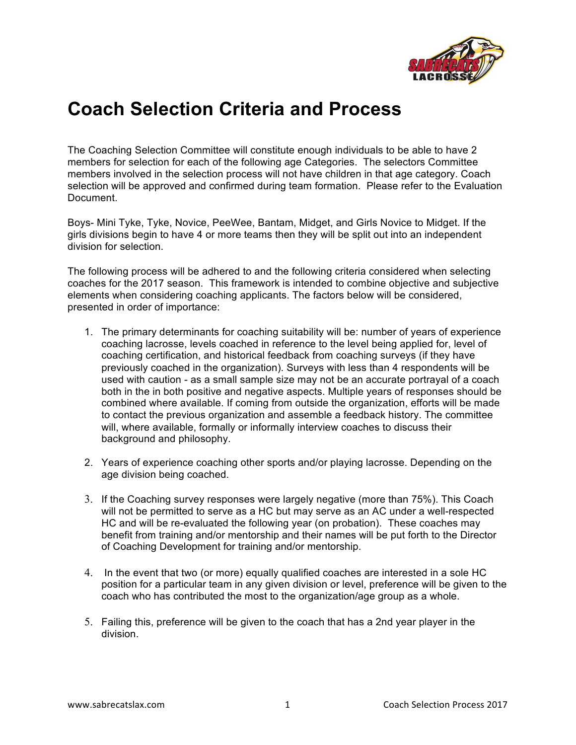

## **Coach Selection Criteria and Process**

The Coaching Selection Committee will constitute enough individuals to be able to have 2 members for selection for each of the following age Categories. The selectors Committee members involved in the selection process will not have children in that age category. Coach selection will be approved and confirmed during team formation. Please refer to the Evaluation Document.

Boys- Mini Tyke, Tyke, Novice, PeeWee, Bantam, Midget, and Girls Novice to Midget. If the girls divisions begin to have 4 or more teams then they will be split out into an independent division for selection.

The following process will be adhered to and the following criteria considered when selecting coaches for the 2017 season. This framework is intended to combine objective and subjective elements when considering coaching applicants. The factors below will be considered, presented in order of importance:

- 1. The primary determinants for coaching suitability will be: number of years of experience coaching lacrosse, levels coached in reference to the level being applied for, level of coaching certification, and historical feedback from coaching surveys (if they have previously coached in the organization). Surveys with less than 4 respondents will be used with caution - as a small sample size may not be an accurate portrayal of a coach both in the in both positive and negative aspects. Multiple years of responses should be combined where available. If coming from outside the organization, efforts will be made to contact the previous organization and assemble a feedback history. The committee will, where available, formally or informally interview coaches to discuss their background and philosophy.
- 2. Years of experience coaching other sports and/or playing lacrosse. Depending on the age division being coached.
- 3. If the Coaching survey responses were largely negative (more than 75%). This Coach will not be permitted to serve as a HC but may serve as an AC under a well-respected HC and will be re-evaluated the following year (on probation). These coaches may benefit from training and/or mentorship and their names will be put forth to the Director of Coaching Development for training and/or mentorship.
- 4. In the event that two (or more) equally qualified coaches are interested in a sole HC position for a particular team in any given division or level, preference will be given to the coach who has contributed the most to the organization/age group as a whole.
- 5. Failing this, preference will be given to the coach that has a 2nd year player in the division.